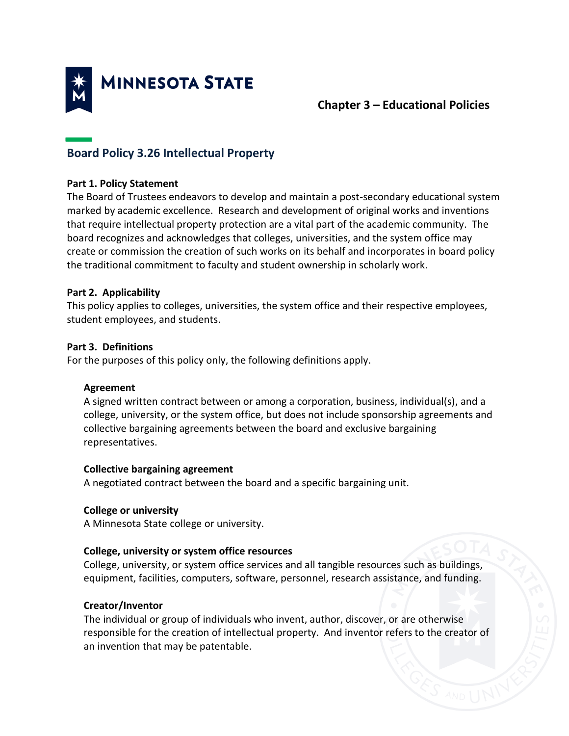

# **Chapter 3 – Educational Policies**

# **Board Policy 3.26 Intellectual Property**

# **Part 1. Policy Statement**

The Board of Trustees endeavors to develop and maintain a post-secondary educational system marked by academic excellence. Research and development of original works and inventions that require intellectual property protection are a vital part of the academic community. The board recognizes and acknowledges that colleges, universities, and the system office may create or commission the creation of such works on its behalf and incorporates in board policy the traditional commitment to faculty and student ownership in scholarly work.

# **Part 2. Applicability**

This policy applies to colleges, universities, the system office and their respective employees, student employees, and students.

# **Part 3. Definitions**

For the purposes of this policy only, the following definitions apply.

#### **Agreement**

A signed written contract between or among a corporation, business, individual(s), and a college, university, or the system office, but does not include sponsorship agreements and collective bargaining agreements between the board and exclusive bargaining representatives.

#### **Collective bargaining agreement**

A negotiated contract between the board and a specific bargaining unit.

#### **College or university**

A Minnesota State college or university.

# **College, university or system office resources**

College, university, or system office services and all tangible resources such as buildings, equipment, facilities, computers, software, personnel, research assistance, and funding.

# **Creator/Inventor**

The individual or group of individuals who invent, author, discover, or are otherwise responsible for the creation of intellectual property. And inventor refers to the creator of an invention that may be patentable.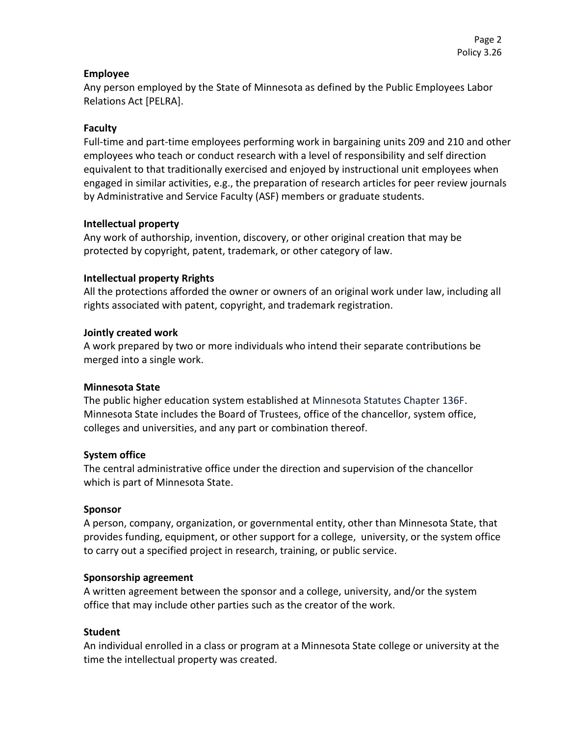# **Employee**

Any person employed by the State of Minnesota as defined by the Public Employees Labor Relations Act [PELRA].

# **Faculty**

Full-time and part-time employees performing work in bargaining units 209 and 210 and other employees who teach or conduct research with a level of responsibility and self direction equivalent to that traditionally exercised and enjoyed by instructional unit employees when engaged in similar activities, e.g., the preparation of research articles for peer review journals by Administrative and Service Faculty (ASF) members or graduate students.

# **Intellectual property**

Any work of authorship, invention, discovery, or other original creation that may be protected by copyright, patent, trademark, or other category of law.

# **Intellectual property Rrights**

All the protections afforded the owner or owners of an original work under law, including all rights associated with patent, copyright, and trademark registration.

# **Jointly created work**

A work prepared by two or more individuals who intend their separate contributions be merged into a single work.

# **Minnesota State**

The public higher education system established at Minnesota Statutes Chapter 136F. Minnesota State includes the Board of Trustees, office of the chancellor, system office, colleges and universities, and any part or combination thereof.

# **System office**

The central administrative office under the direction and supervision of the chancellor which is part of Minnesota State.

# **Sponsor**

A person, company, organization, or governmental entity, other than Minnesota State, that provides funding, equipment, or other support for a college, university, or the system office to carry out a specified project in research, training, or public service.

# **Sponsorship agreement**

A written agreement between the sponsor and a college, university, and/or the system office that may include other parties such as the creator of the work.

# **Student**

An individual enrolled in a class or program at a Minnesota State college or university at the time the intellectual property was created.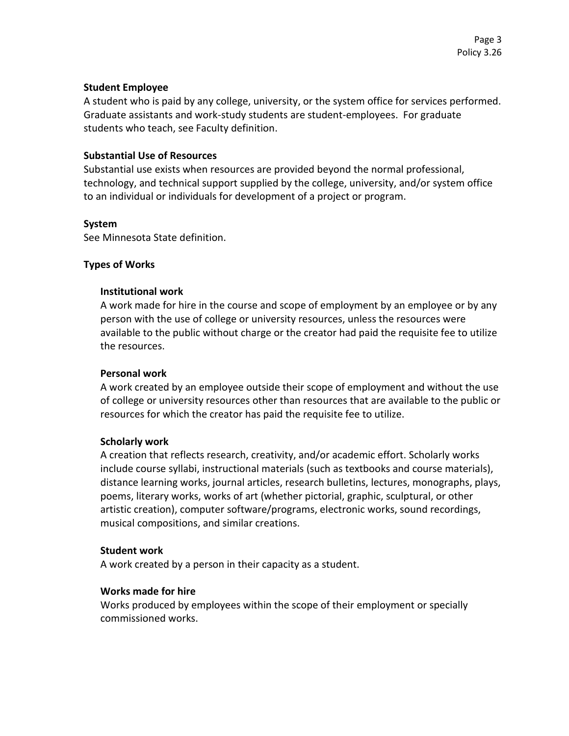#### **Student Employee**

A student who is paid by any college, university, or the system office for services performed. Graduate assistants and work-study students are student-employees. For graduate students who teach, see Faculty definition.

### **Substantial Use of Resources**

Substantial use exists when resources are provided beyond the normal professional, technology, and technical support supplied by the college, university, and/or system office to an individual or individuals for development of a project or program.

#### **System**

See Minnesota State definition.

#### **Types of Works**

#### **Institutional work**

A work made for hire in the course and scope of employment by an employee or by any person with the use of college or university resources, unless the resources were available to the public without charge or the creator had paid the requisite fee to utilize the resources.

#### **Personal work**

A work created by an employee outside their scope of employment and without the use of college or university resources other than resources that are available to the public or resources for which the creator has paid the requisite fee to utilize.

#### **Scholarly work**

A creation that reflects research, creativity, and/or academic effort. Scholarly works include course syllabi, instructional materials (such as textbooks and course materials), distance learning works, journal articles, research bulletins, lectures, monographs, plays, poems, literary works, works of art (whether pictorial, graphic, sculptural, or other artistic creation), computer software/programs, electronic works, sound recordings, musical compositions, and similar creations.

#### **Student work**

A work created by a person in their capacity as a student.

#### **Works made for hire**

Works produced by employees within the scope of their employment or specially commissioned works.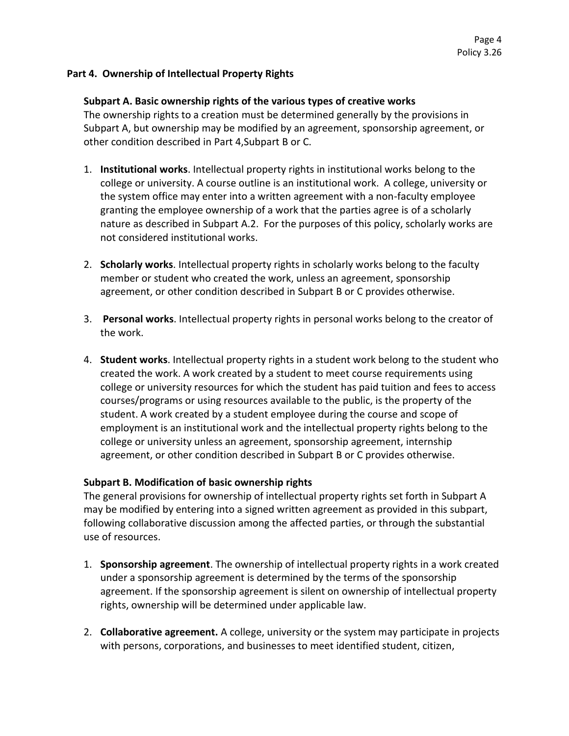# **Part 4. Ownership of Intellectual Property Rights**

# **Subpart A. Basic ownership rights of the various types of creative works**

The ownership rights to a creation must be determined generally by the provisions in Subpart A, but ownership may be modified by an agreement, sponsorship agreement, or other condition described in Part 4,Subpart B or C.

- 1. **Institutional works**. Intellectual property rights in institutional works belong to the college or university. A course outline is an institutional work. A college, university or the system office may enter into a written agreement with a non-faculty employee granting the employee ownership of a work that the parties agree is of a scholarly nature as described in Subpart A.2. For the purposes of this policy, scholarly works are not considered institutional works.
- 2. **Scholarly works**. Intellectual property rights in scholarly works belong to the faculty member or student who created the work, unless an agreement, sponsorship agreement, or other condition described in Subpart B or C provides otherwise.
- 3. **Personal works**. Intellectual property rights in personal works belong to the creator of the work.
- 4. **Student works**. Intellectual property rights in a student work belong to the student who created the work. A work created by a student to meet course requirements using college or university resources for which the student has paid tuition and fees to access courses/programs or using resources available to the public, is the property of the student. A work created by a student employee during the course and scope of employment is an institutional work and the intellectual property rights belong to the college or university unless an agreement, sponsorship agreement, internship agreement, or other condition described in Subpart B or C provides otherwise.

# **Subpart B. Modification of basic ownership rights**

The general provisions for ownership of intellectual property rights set forth in Subpart A may be modified by entering into a signed written agreement as provided in this subpart, following collaborative discussion among the affected parties, or through the substantial use of resources.

- 1. **Sponsorship agreement**. The ownership of intellectual property rights in a work created under a sponsorship agreement is determined by the terms of the sponsorship agreement. If the sponsorship agreement is silent on ownership of intellectual property rights, ownership will be determined under applicable law.
- 2. **Collaborative agreement.** A college, university or the system may participate in projects with persons, corporations, and businesses to meet identified student, citizen,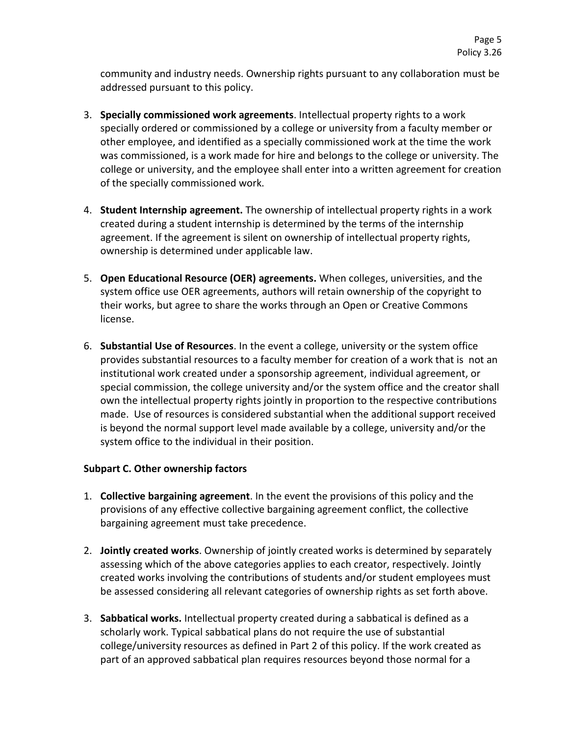community and industry needs. Ownership rights pursuant to any collaboration must be addressed pursuant to this policy.

- 3. **Specially commissioned work agreements**. Intellectual property rights to a work specially ordered or commissioned by a college or university from a faculty member or other employee, and identified as a specially commissioned work at the time the work was commissioned, is a work made for hire and belongs to the college or university. The college or university, and the employee shall enter into a written agreement for creation of the specially commissioned work.
- 4. **Student Internship agreement.** The ownership of intellectual property rights in a work created during a student internship is determined by the terms of the internship agreement. If the agreement is silent on ownership of intellectual property rights, ownership is determined under applicable law.
- 5. **Open Educational Resource (OER) agreements.** When colleges, universities, and the system office use OER agreements, authors will retain ownership of the copyright to their works, but agree to share the works through an Open or Creative Commons license.
- 6. **Substantial Use of Resources**. In the event a college, university or the system office provides substantial resources to a faculty member for creation of a work that is not an institutional work created under a sponsorship agreement, individual agreement, or special commission, the college university and/or the system office and the creator shall own the intellectual property rights jointly in proportion to the respective contributions made. Use of resources is considered substantial when the additional support received is beyond the normal support level made available by a college, university and/or the system office to the individual in their position.

# **Subpart C. Other ownership factors**

- 1. **Collective bargaining agreement**. In the event the provisions of this policy and the provisions of any effective collective bargaining agreement conflict, the collective bargaining agreement must take precedence.
- 2. **Jointly created works**. Ownership of jointly created works is determined by separately assessing which of the above categories applies to each creator, respectively. Jointly created works involving the contributions of students and/or student employees must be assessed considering all relevant categories of ownership rights as set forth above.
- 3. **Sabbatical works.** Intellectual property created during a sabbatical is defined as a scholarly work. Typical sabbatical plans do not require the use of substantial college/university resources as defined in Part 2 of this policy. If the work created as part of an approved sabbatical plan requires resources beyond those normal for a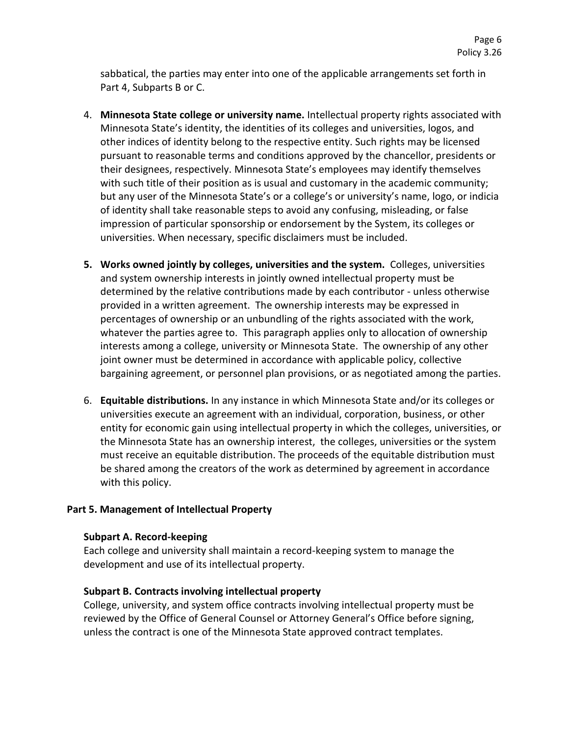sabbatical, the parties may enter into one of the applicable arrangements set forth in Part 4, Subparts B or C.

- 4. **Minnesota State college or university name.** Intellectual property rights associated with Minnesota State's identity, the identities of its colleges and universities, logos, and other indices of identity belong to the respective entity. Such rights may be licensed pursuant to reasonable terms and conditions approved by the chancellor, presidents or their designees, respectively. Minnesota State's employees may identify themselves with such title of their position as is usual and customary in the academic community; but any user of the Minnesota State's or a college's or university's name, logo, or indicia of identity shall take reasonable steps to avoid any confusing, misleading, or false impression of particular sponsorship or endorsement by the System, its colleges or universities. When necessary, specific disclaimers must be included.
- **5. Works owned jointly by colleges, universities and the system.** Colleges, universities and system ownership interests in jointly owned intellectual property must be determined by the relative contributions made by each contributor - unless otherwise provided in a written agreement. The ownership interests may be expressed in percentages of ownership or an unbundling of the rights associated with the work, whatever the parties agree to. This paragraph applies only to allocation of ownership interests among a college, university or Minnesota State. The ownership of any other joint owner must be determined in accordance with applicable policy, collective bargaining agreement, or personnel plan provisions, or as negotiated among the parties.
- 6. **Equitable distributions.** In any instance in which Minnesota State and/or its colleges or universities execute an agreement with an individual, corporation, business, or other entity for economic gain using intellectual property in which the colleges, universities, or the Minnesota State has an ownership interest, the colleges, universities or the system must receive an equitable distribution. The proceeds of the equitable distribution must be shared among the creators of the work as determined by agreement in accordance with this policy.

# **Part 5. Management of Intellectual Property**

# **Subpart A. Record-keeping**

Each college and university shall maintain a record-keeping system to manage the development and use of its intellectual property.

# **Subpart B. Contracts involving intellectual property**

College, university, and system office contracts involving intellectual property must be reviewed by the Office of General Counsel or Attorney General's Office before signing, unless the contract is one of the Minnesota State approved contract templates.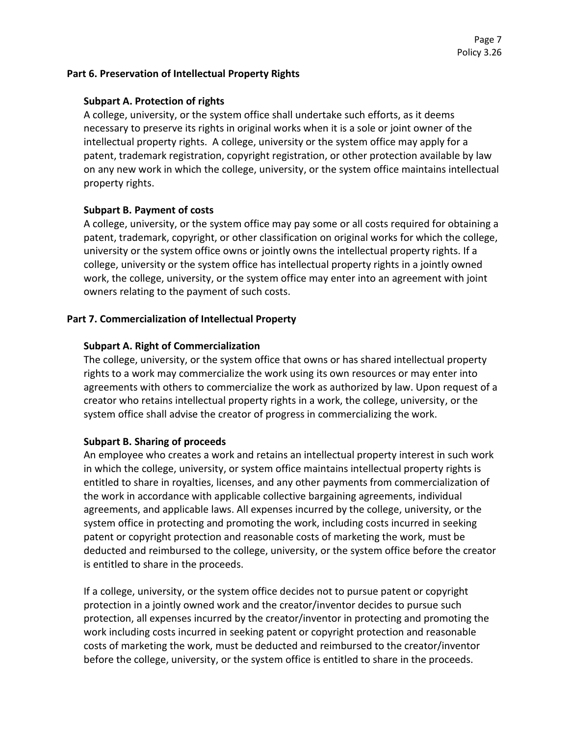# **Part 6. Preservation of Intellectual Property Rights**

### **Subpart A. Protection of rights**

A college, university, or the system office shall undertake such efforts, as it deems necessary to preserve its rights in original works when it is a sole or joint owner of the intellectual property rights. A college, university or the system office may apply for a patent, trademark registration, copyright registration, or other protection available by law on any new work in which the college, university, or the system office maintains intellectual property rights.

# **Subpart B. Payment of costs**

A college, university, or the system office may pay some or all costs required for obtaining a patent, trademark, copyright, or other classification on original works for which the college, university or the system office owns or jointly owns the intellectual property rights. If a college, university or the system office has intellectual property rights in a jointly owned work, the college, university, or the system office may enter into an agreement with joint owners relating to the payment of such costs.

# **Part 7. Commercialization of Intellectual Property**

# **Subpart A. Right of Commercialization**

The college, university, or the system office that owns or has shared intellectual property rights to a work may commercialize the work using its own resources or may enter into agreements with others to commercialize the work as authorized by law. Upon request of a creator who retains intellectual property rights in a work, the college, university, or the system office shall advise the creator of progress in commercializing the work.

# **Subpart B. Sharing of proceeds**

An employee who creates a work and retains an intellectual property interest in such work in which the college, university, or system office maintains intellectual property rights is entitled to share in royalties, licenses, and any other payments from commercialization of the work in accordance with applicable collective bargaining agreements, individual agreements, and applicable laws. All expenses incurred by the college, university, or the system office in protecting and promoting the work, including costs incurred in seeking patent or copyright protection and reasonable costs of marketing the work, must be deducted and reimbursed to the college, university, or the system office before the creator is entitled to share in the proceeds.

If a college, university, or the system office decides not to pursue patent or copyright protection in a jointly owned work and the creator/inventor decides to pursue such protection, all expenses incurred by the creator/inventor in protecting and promoting the work including costs incurred in seeking patent or copyright protection and reasonable costs of marketing the work, must be deducted and reimbursed to the creator/inventor before the college, university, or the system office is entitled to share in the proceeds.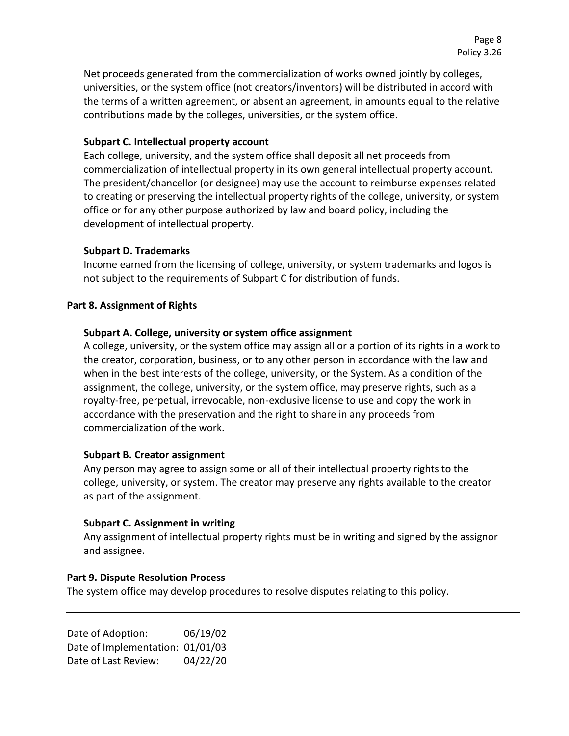Net proceeds generated from the commercialization of works owned jointly by colleges, universities, or the system office (not creators/inventors) will be distributed in accord with the terms of a written agreement, or absent an agreement, in amounts equal to the relative contributions made by the colleges, universities, or the system office.

# **Subpart C. Intellectual property account**

Each college, university, and the system office shall deposit all net proceeds from commercialization of intellectual property in its own general intellectual property account. The president/chancellor (or designee) may use the account to reimburse expenses related to creating or preserving the intellectual property rights of the college, university, or system office or for any other purpose authorized by law and board policy, including the development of intellectual property.

# **Subpart D. Trademarks**

Income earned from the licensing of college, university, or system trademarks and logos is not subject to the requirements of Subpart C for distribution of funds.

#### **Part 8. Assignment of Rights**

#### **Subpart A. College, university or system office assignment**

A college, university, or the system office may assign all or a portion of its rights in a work to the creator, corporation, business, or to any other person in accordance with the law and when in the best interests of the college, university, or the System. As a condition of the assignment, the college, university, or the system office, may preserve rights, such as a royalty-free, perpetual, irrevocable, non-exclusive license to use and copy the work in accordance with the preservation and the right to share in any proceeds from commercialization of the work.

# **Subpart B. Creator assignment**

Any person may agree to assign some or all of their intellectual property rights to the college, university, or system. The creator may preserve any rights available to the creator as part of the assignment.

#### **Subpart C. Assignment in writing**

Any assignment of intellectual property rights must be in writing and signed by the assignor and assignee.

#### **Part 9. Dispute Resolution Process**

The system office may develop procedures to resolve disputes relating to this policy.

Date of Adoption: 06/19/02 Date of Implementation: 01/01/03 Date of Last Review: 04/22/20